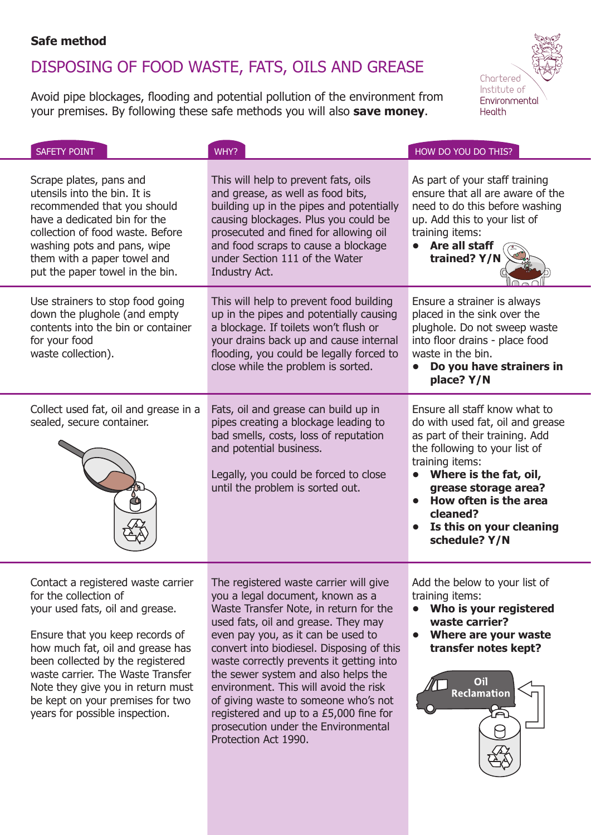### **Safe method**

waste carrier. The Waste Transfer Note they give you in return must be kept on your premises for two years for possible inspection.

# DISPOSING OF FOOD WASTE, FATS, OILS AND GREASE

Avoid pipe blockages, flooding and potential pollution of the environment from your premises. By following these safe methods you will also **save money**.



| <b>SAFETY POINT</b>                                                                                                                                                                                                                                         | WHY?                                                                                                                                                                                                                                                                                             | HOW DO YOU DO THIS?                                                                                                                                                                                                                                                                         |
|-------------------------------------------------------------------------------------------------------------------------------------------------------------------------------------------------------------------------------------------------------------|--------------------------------------------------------------------------------------------------------------------------------------------------------------------------------------------------------------------------------------------------------------------------------------------------|---------------------------------------------------------------------------------------------------------------------------------------------------------------------------------------------------------------------------------------------------------------------------------------------|
| Scrape plates, pans and<br>utensils into the bin. It is<br>recommended that you should<br>have a dedicated bin for the<br>collection of food waste. Before<br>washing pots and pans, wipe<br>them with a paper towel and<br>put the paper towel in the bin. | This will help to prevent fats, oils<br>and grease, as well as food bits,<br>building up in the pipes and potentially<br>causing blockages. Plus you could be<br>prosecuted and fined for allowing oil<br>and food scraps to cause a blockage<br>under Section 111 of the Water<br>Industry Act. | As part of your staff training<br>ensure that all are aware of the<br>need to do this before washing<br>up. Add this to your list of<br>training items:<br>Are all staff<br>trained? Y/N                                                                                                    |
| Use strainers to stop food going<br>down the plughole (and empty<br>contents into the bin or container<br>for your food<br>waste collection).                                                                                                               | This will help to prevent food building<br>up in the pipes and potentially causing<br>a blockage. If toilets won't flush or<br>your drains back up and cause internal<br>flooding, you could be legally forced to<br>close while the problem is sorted.                                          | Ensure a strainer is always<br>placed in the sink over the<br>plughole. Do not sweep waste<br>into floor drains - place food<br>waste in the bin.<br>Do you have strainers in<br>$\bullet$<br>place? Y/N                                                                                    |
| Collect used fat, oil and grease in a<br>sealed, secure container.                                                                                                                                                                                          | Fats, oil and grease can build up in<br>pipes creating a blockage leading to<br>bad smells, costs, loss of reputation<br>and potential business.<br>Legally, you could be forced to close<br>until the problem is sorted out.                                                                    | Ensure all staff know what to<br>do with used fat, oil and grease<br>as part of their training. Add<br>the following to your list of<br>training items:<br>Where is the fat, oil,<br>grease storage area?<br>How often is the area<br>cleaned?<br>Is this on your cleaning<br>schedule? Y/N |
| Contact a registered waste carrier<br>for the collection of<br>your used fats, oil and grease.<br>Ensure that you keep records of<br>how much fat, oil and grease has<br>been collected by the registered                                                   | The registered waste carrier will give<br>you a legal document, known as a<br>Waste Transfer Note, in return for the<br>used fats, oil and grease. They may<br>even pay you, as it can be used to<br>convert into biodiesel. Disposing of this<br>waste correctly prevents it getting into       | Add the below to your list of<br>training items:<br>Who is your registered<br>waste carrier?<br>Where are your waste<br>$\bullet$<br>transfer notes kept?                                                                                                                                   |

the sewer system and also helps the environment. This will avoid the risk of giving waste to someone who's not registered and up to a £5,000 fine for prosecution under the Environmental

Protection Act 1990.